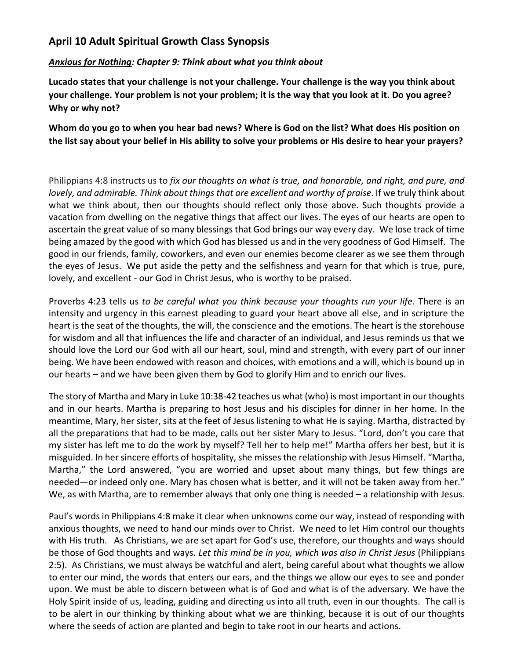## **April 10 Adult Spiritual Growth Class Synopsis**

## *Anxious for Nothing: Chapter 9: Think about what you think about*

**Lucado states that your challenge is not your challenge. Your challenge is the way you think about your challenge. Your problem is not your problem; it is the way that you look at it. Do you agree? Why or why not?**

**Whom do you go to when you hear bad news? Where is God on the list? What does His position on the list say about your belief in His ability to solve your problems or His desire to hear your prayers?**

Philippians 4:8 instructs us to *fix our thoughts on what is true, and honorable, and right, and pure, and lovely, and admirable. Think about things that are excellent and worthy of praise.* If we truly think about what we think about, then our thoughts should reflect only those above. Such thoughts provide a vacation from dwelling on the negative things that affect our lives. The eyes of our hearts are open to ascertain the great value of so many blessings that God brings our way every day. We lose track of time being amazed by the good with which God has blessed us and in the very goodness of God Himself. The good in our friends, family, coworkers, and even our enemies become clearer as we see them through the eyes of Jesus. We put aside the petty and the selfishness and yearn for that which is true, pure, lovely, and excellent - our God in Christ Jesus, who is worthy to be praised.

Proverbs 4:23 tells us *to be careful what you think because your thoughts run your life.* There is an intensity and urgency in this earnest pleading to guard your heart above all else, and in scripture the heart is the seat of the thoughts, the will, the conscience and the emotions. The heart is the storehouse for wisdom and all that influences the life and character of an individual, and Jesus reminds us that we should love the Lord our God with all our heart, soul, mind and strength, with every part of our inner being. We have been endowed with reason and choices, with emotions and a will, which is bound up in our hearts – and we have been given them by God to glorify Him and to enrich our lives.

The story of Martha and Mary in Luke 10:38-42 teaches us what (who) is most important in our thoughts and in our hearts. Martha is preparing to host Jesus and his disciples for dinner in her home. In the meantime, Mary, her sister, sits at the feet of Jesus listening to what He is saying. Martha, distracted by all the preparations that had to be made, calls out her sister Mary to Jesus. "Lord, don't you care that my sister has left me to do the work by myself? Tell her to help me!" Martha offers her best, but it is misguided. In her sincere efforts of hospitality, she misses the relationship with Jesus Himself. "Martha, Martha," the Lord answered, "you are worried and upset about many things, but few things are needed—or indeed only one. Mary has chosen what is better, and it will not be taken away from her." We, as with Martha, are to remember always that only one thing is needed – a relationship with Jesus.

Paul's words in Philippians 4:8 make it clear when unknowns come our way, instead of responding with anxious thoughts, we need to hand our minds over to Christ. We need to let Him control our thoughts with His truth. As Christians, we are set apart for God's use, therefore, our thoughts and ways should be those of God thoughts and ways. *Let this mind be in you, which was also in Christ Jesus* (Philippians 2:5). As Christians, we must always be watchful and alert, being careful about what thoughts we allow to enter our mind, the words that enters our ears, and the things we allow our eyes to see and ponder upon. We must be able to discern between what is of God and what is of the adversary. We have the Holy Spirit inside of us, leading, guiding and directing us into all truth, even in our thoughts. The call is to be alert in our thinking by thinking about what we are thinking, because it is out of our thoughts where the seeds of action are planted and begin to take root in our hearts and actions.